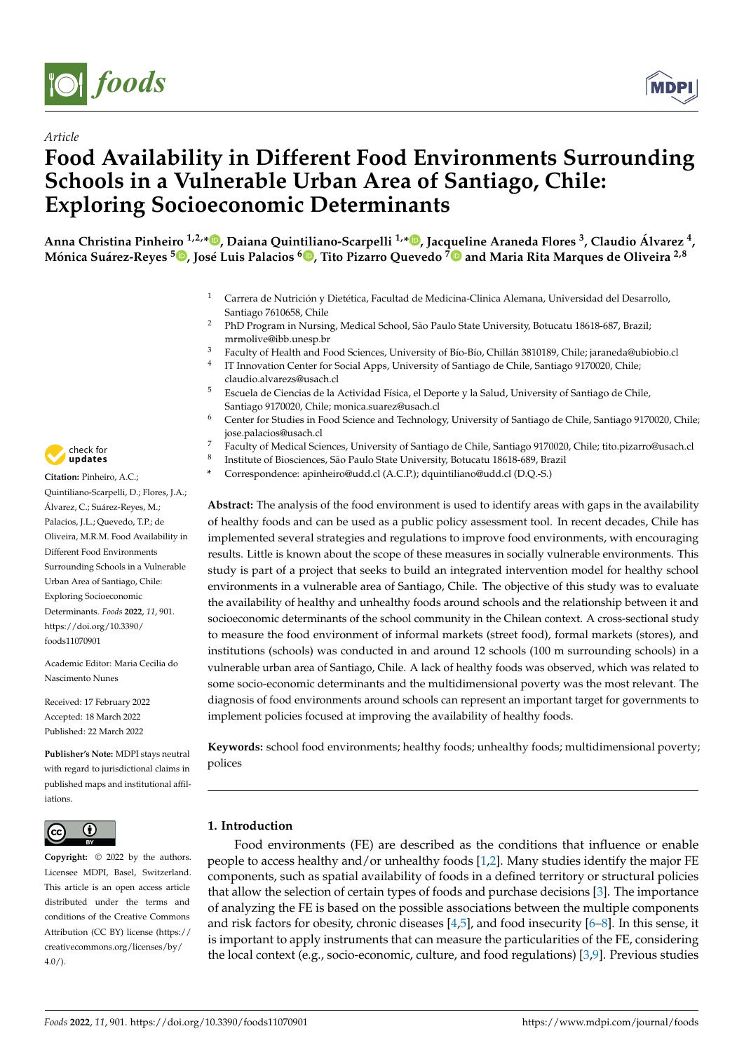

*Article*



# **Food Availability in Different Food Environments Surrounding Schools in a Vulnerable Urban Area of Santiago, Chile: Exploring Socioeconomic Determinants**

Anna Christina Pinheiro <sup>1,2,</sup>[\\*](https://orcid.org/0000-0002-5188-2619)®[,](https://orcid.org/0000-0003-4317-4601) Daiana Quintiliano-Scarpelli <sup>1,</sup>\*®, Jac[que](https://orcid.org/0000-0002-2514-0072)line Araneda Flores <sup>3</sup>, Claudio Álvarez <sup>4</sup>, **Mónica Suárez-Reyes <sup>5</sup> [,](https://orcid.org/0000-0002-5663-4673) José Luis Palacios [6](https://orcid.org/0000-0003-2693-1121) , Tito Pizarro Quevedo <sup>7</sup> and Maria Rita Marques de Oliveira 2,8**

- <sup>1</sup> Carrera de Nutrición y Dietética, Facultad de Medicina-Clinica Alemana, Universidad del Desarrollo, Santiago 7610658, Chile
- <sup>2</sup> PhD Program in Nursing, Medical School, São Paulo State University, Botucatu 18618-687, Brazil; mrmolive@ibb.unesp.br
- <sup>3</sup> Faculty of Health and Food Sciences, University of Bío-Bío, Chillán 3810189, Chile; jaraneda@ubiobio.cl
- 4 IT Innovation Center for Social Apps, University of Santiago de Chile, Santiago 9170020, Chile; claudio.alvarezs@usach.cl
- <sup>5</sup> Escuela de Ciencias de la Actividad Física, el Deporte y la Salud, University of Santiago de Chile, Santiago 9170020, Chile; monica.suarez@usach.cl
- Center for Studies in Food Science and Technology, University of Santiago de Chile, Santiago 9170020, Chile; jose.palacios@usach.cl
- <sup>7</sup> Faculty of Medical Sciences, University of Santiago de Chile, Santiago 9170020, Chile; tito.pizarro@usach.cl
- 8 Institute of Biosciences, São Paulo State University, Botucatu 18618-689, Brazil
- **\*** Correspondence: apinheiro@udd.cl (A.C.P.); dquintiliano@udd.cl (D.Q.-S.)

**Abstract:** The analysis of the food environment is used to identify areas with gaps in the availability of healthy foods and can be used as a public policy assessment tool. In recent decades, Chile has implemented several strategies and regulations to improve food environments, with encouraging results. Little is known about the scope of these measures in socially vulnerable environments. This study is part of a project that seeks to build an integrated intervention model for healthy school environments in a vulnerable area of Santiago, Chile. The objective of this study was to evaluate the availability of healthy and unhealthy foods around schools and the relationship between it and socioeconomic determinants of the school community in the Chilean context. A cross-sectional study to measure the food environment of informal markets (street food), formal markets (stores), and institutions (schools) was conducted in and around 12 schools (100 m surrounding schools) in a vulnerable urban area of Santiago, Chile. A lack of healthy foods was observed, which was related to some socio-economic determinants and the multidimensional poverty was the most relevant. The diagnosis of food environments around schools can represent an important target for governments to implement policies focused at improving the availability of healthy foods.

**Keywords:** school food environments; healthy foods; unhealthy foods; multidimensional poverty; polices

## **1. Introduction**

Food environments (FE) are described as the conditions that influence or enable people to access healthy and/or unhealthy foods [\[1,](#page-10-0)[2\]](#page-10-1). Many studies identify the major FE components, such as spatial availability of foods in a defined territory or structural policies that allow the selection of certain types of foods and purchase decisions [\[3\]](#page-10-2). The importance of analyzing the FE is based on the possible associations between the multiple components and risk factors for obesity, chronic diseases [\[4](#page-10-3)[,5\]](#page-10-4), and food insecurity [\[6–](#page-11-0)[8\]](#page-11-1). In this sense, it is important to apply instruments that can measure the particularities of the FE, considering the local context (e.g., socio-economic, culture, and food regulations) [\[3](#page-10-2)[,9\]](#page-11-2). Previous studies



**Citation:** Pinheiro, A.C.; Quintiliano-Scarpelli, D.; Flores, J.A.; Álvarez, C.; Suárez-Reyes, M.; Palacios, J.L.; Quevedo, T.P.; de Oliveira, M.R.M. Food Availability in Different Food Environments Surrounding Schools in a Vulnerable Urban Area of Santiago, Chile: Exploring Socioeconomic Determinants. *Foods* **2022**, *11*, 901. [https://doi.org/10.3390/](https://doi.org/10.3390/foods11070901) [foods11070901](https://doi.org/10.3390/foods11070901)

Academic Editor: Maria Cecilia do Nascimento Nunes

Received: 17 February 2022 Accepted: 18 March 2022 Published: 22 March 2022

**Publisher's Note:** MDPI stays neutral with regard to jurisdictional claims in published maps and institutional affiliations.



**Copyright:** © 2022 by the authors. Licensee MDPI, Basel, Switzerland. This article is an open access article distributed under the terms and conditions of the Creative Commons Attribution (CC BY) license [\(https://](https://creativecommons.org/licenses/by/4.0/) [creativecommons.org/licenses/by/](https://creativecommons.org/licenses/by/4.0/)  $4.0/$ ).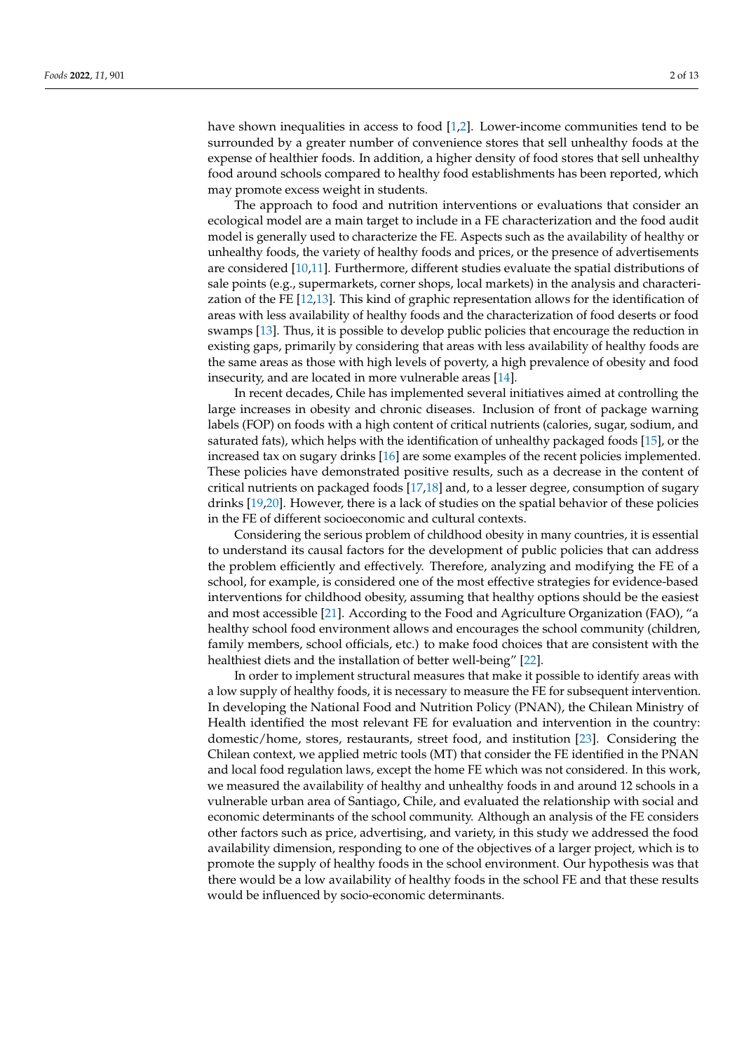have shown inequalities in access to food [\[1](#page-10-0)[,2\]](#page-10-1). Lower-income communities tend to be surrounded by a greater number of convenience stores that sell unhealthy foods at the expense of healthier foods. In addition, a higher density of food stores that sell unhealthy food around schools compared to healthy food establishments has been reported, which may promote excess weight in students.

The approach to food and nutrition interventions or evaluations that consider an ecological model are a main target to include in a FE characterization and the food audit model is generally used to characterize the FE. Aspects such as the availability of healthy or unhealthy foods, the variety of healthy foods and prices, or the presence of advertisements are considered [\[10,](#page-11-3)[11\]](#page-11-4). Furthermore, different studies evaluate the spatial distributions of sale points (e.g., supermarkets, corner shops, local markets) in the analysis and characterization of the FE [\[12,](#page-11-5)[13\]](#page-11-6). This kind of graphic representation allows for the identification of areas with less availability of healthy foods and the characterization of food deserts or food swamps [\[13\]](#page-11-6). Thus, it is possible to develop public policies that encourage the reduction in existing gaps, primarily by considering that areas with less availability of healthy foods are the same areas as those with high levels of poverty, a high prevalence of obesity and food insecurity, and are located in more vulnerable areas [\[14\]](#page-11-7).

In recent decades, Chile has implemented several initiatives aimed at controlling the large increases in obesity and chronic diseases. Inclusion of front of package warning labels (FOP) on foods with a high content of critical nutrients (calories, sugar, sodium, and saturated fats), which helps with the identification of unhealthy packaged foods [\[15\]](#page-11-8), or the increased tax on sugary drinks [\[16\]](#page-11-9) are some examples of the recent policies implemented. These policies have demonstrated positive results, such as a decrease in the content of critical nutrients on packaged foods [\[17,](#page-11-10)[18\]](#page-11-11) and, to a lesser degree, consumption of sugary drinks [\[19,](#page-11-12)[20\]](#page-11-13). However, there is a lack of studies on the spatial behavior of these policies in the FE of different socioeconomic and cultural contexts.

Considering the serious problem of childhood obesity in many countries, it is essential to understand its causal factors for the development of public policies that can address the problem efficiently and effectively. Therefore, analyzing and modifying the FE of a school, for example, is considered one of the most effective strategies for evidence-based interventions for childhood obesity, assuming that healthy options should be the easiest and most accessible [\[21\]](#page-11-14). According to the Food and Agriculture Organization (FAO), "a healthy school food environment allows and encourages the school community (children, family members, school officials, etc.) to make food choices that are consistent with the healthiest diets and the installation of better well-being" [\[22\]](#page-11-15).

In order to implement structural measures that make it possible to identify areas with a low supply of healthy foods, it is necessary to measure the FE for subsequent intervention. In developing the National Food and Nutrition Policy (PNAN), the Chilean Ministry of Health identified the most relevant FE for evaluation and intervention in the country: domestic/home, stores, restaurants, street food, and institution [\[23\]](#page-11-16). Considering the Chilean context, we applied metric tools (MT) that consider the FE identified in the PNAN and local food regulation laws, except the home FE which was not considered. In this work, we measured the availability of healthy and unhealthy foods in and around 12 schools in a vulnerable urban area of Santiago, Chile, and evaluated the relationship with social and economic determinants of the school community. Although an analysis of the FE considers other factors such as price, advertising, and variety, in this study we addressed the food availability dimension, responding to one of the objectives of a larger project, which is to promote the supply of healthy foods in the school environment. Our hypothesis was that there would be a low availability of healthy foods in the school FE and that these results would be influenced by socio-economic determinants.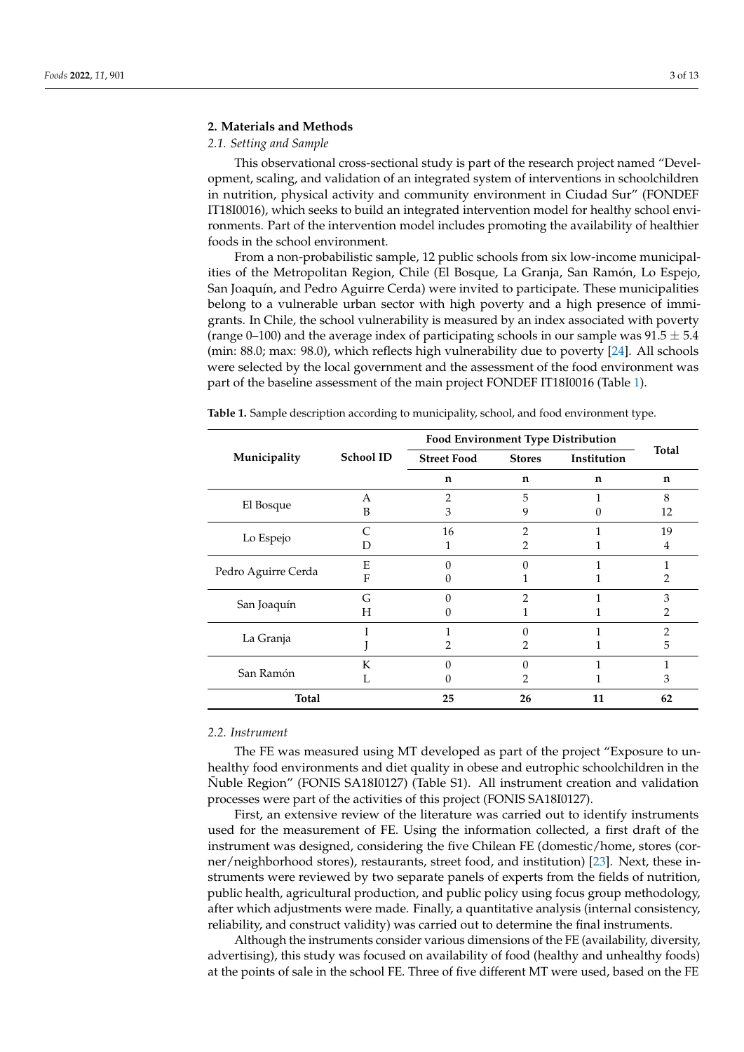## **2. Materials and Methods**

## *2.1. Setting and Sample*

This observational cross-sectional study is part of the research project named "Development, scaling, and validation of an integrated system of interventions in schoolchildren in nutrition, physical activity and community environment in Ciudad Sur" (FONDEF IT18I0016), which seeks to build an integrated intervention model for healthy school environments. Part of the intervention model includes promoting the availability of healthier foods in the school environment.

From a non-probabilistic sample, 12 public schools from six low-income municipalities of the Metropolitan Region, Chile (El Bosque, La Granja, San Ramón, Lo Espejo, San Joaquín, and Pedro Aguirre Cerda) were invited to participate. These municipalities belong to a vulnerable urban sector with high poverty and a high presence of immigrants. In Chile, the school vulnerability is measured by an index associated with poverty (range 0–100) and the average index of participating schools in our sample was  $91.5 \pm 5.4$ (min: 88.0; max: 98.0), which reflects high vulnerability due to poverty [\[24\]](#page-11-17). All schools were selected by the local government and the assessment of the food environment was part of the baseline assessment of the main project FONDEF IT18I0016 (Table [1\)](#page-2-0).

|                     |                  | <b>Food Environment Type Distribution</b> |               |             |              |  |
|---------------------|------------------|-------------------------------------------|---------------|-------------|--------------|--|
| Municipality        | <b>School ID</b> | <b>Street Food</b>                        | <b>Stores</b> | Institution | <b>Total</b> |  |
|                     |                  | n                                         | n             | n           | n            |  |
| El Bosque           | А                | 2                                         | 5             |             | 8            |  |
|                     | B                | 3                                         | 9             |             | 12           |  |
| Lo Espejo           |                  | 16                                        | っ             |             | 19           |  |
|                     | D                |                                           | 2             |             | 4            |  |
| Pedro Aguirre Cerda | E                | 0                                         |               |             |              |  |
|                     | F                |                                           |               |             | 2            |  |
| San Joaquín         | G                |                                           | 2             |             | 3            |  |
|                     | Н                |                                           |               |             | 2            |  |
|                     |                  |                                           |               |             | っ            |  |
| La Granja           |                  |                                           |               |             | 5            |  |
|                     | K                |                                           |               |             |              |  |
| San Ramón           | L                |                                           |               |             | З            |  |
| Total               |                  | 25                                        | 26            | 11          | 62           |  |

<span id="page-2-0"></span>**Table 1.** Sample description according to municipality, school, and food environment type.

## *2.2. Instrument*

The FE was measured using MT developed as part of the project "Exposure to unhealthy food environments and diet quality in obese and eutrophic schoolchildren in the Ñuble Region" (FONIS SA18I0127) (Table S1). All instrument creation and validation processes were part of the activities of this project (FONIS SA18I0127).

First, an extensive review of the literature was carried out to identify instruments used for the measurement of FE. Using the information collected, a first draft of the instrument was designed, considering the five Chilean FE (domestic/home, stores (corner/neighborhood stores), restaurants, street food, and institution) [\[23\]](#page-11-16). Next, these instruments were reviewed by two separate panels of experts from the fields of nutrition, public health, agricultural production, and public policy using focus group methodology, after which adjustments were made. Finally, a quantitative analysis (internal consistency, reliability, and construct validity) was carried out to determine the final instruments.

Although the instruments consider various dimensions of the FE (availability, diversity, advertising), this study was focused on availability of food (healthy and unhealthy foods) at the points of sale in the school FE. Three of five different MT were used, based on the FE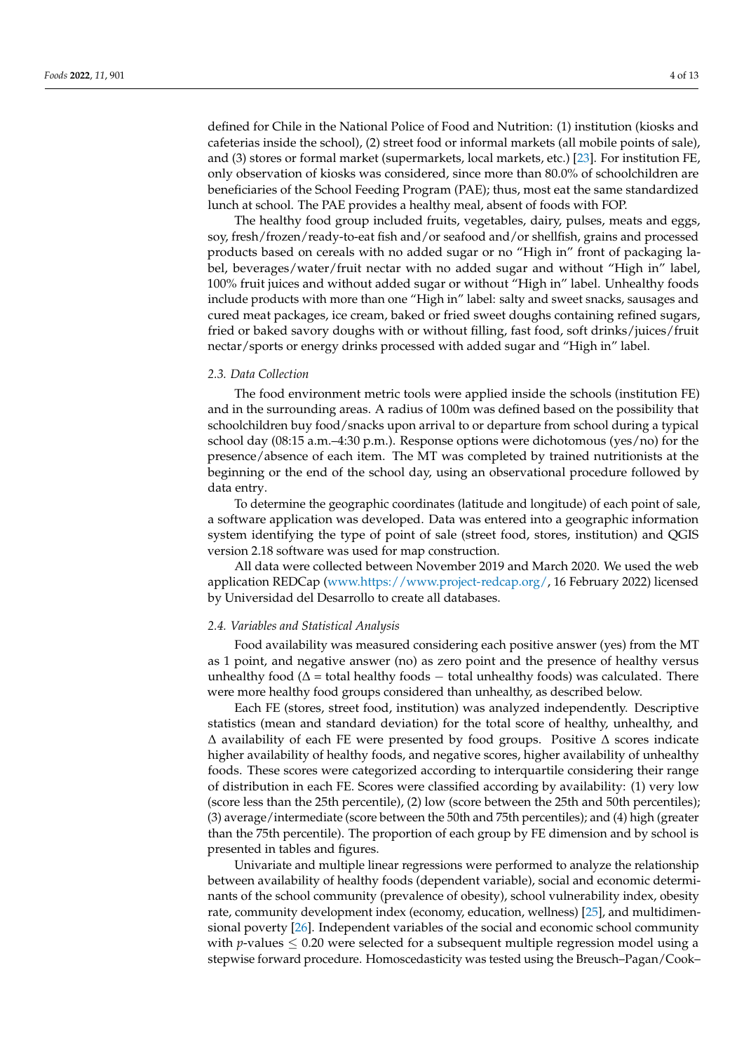defined for Chile in the National Police of Food and Nutrition: (1) institution (kiosks and cafeterias inside the school), (2) street food or informal markets (all mobile points of sale), and (3) stores or formal market (supermarkets, local markets, etc.) [\[23\]](#page-11-16). For institution FE, only observation of kiosks was considered, since more than 80.0% of schoolchildren are beneficiaries of the School Feeding Program (PAE); thus, most eat the same standardized lunch at school. The PAE provides a healthy meal, absent of foods with FOP.

The healthy food group included fruits, vegetables, dairy, pulses, meats and eggs, soy, fresh/frozen/ready-to-eat fish and/or seafood and/or shellfish, grains and processed products based on cereals with no added sugar or no "High in" front of packaging label, beverages/water/fruit nectar with no added sugar and without "High in" label, 100% fruit juices and without added sugar or without "High in" label. Unhealthy foods include products with more than one "High in" label: salty and sweet snacks, sausages and cured meat packages, ice cream, baked or fried sweet doughs containing refined sugars, fried or baked savory doughs with or without filling, fast food, soft drinks/juices/fruit nectar/sports or energy drinks processed with added sugar and "High in" label.

### *2.3. Data Collection*

The food environment metric tools were applied inside the schools (institution FE) and in the surrounding areas. A radius of 100m was defined based on the possibility that schoolchildren buy food/snacks upon arrival to or departure from school during a typical school day (08:15 a.m.–4:30 p.m.). Response options were dichotomous (yes/no) for the presence/absence of each item. The MT was completed by trained nutritionists at the beginning or the end of the school day, using an observational procedure followed by data entry.

To determine the geographic coordinates (latitude and longitude) of each point of sale, a software application was developed. Data was entered into a geographic information system identifying the type of point of sale (street food, stores, institution) and QGIS version 2.18 software was used for map construction.

All data were collected between November 2019 and March 2020. We used the web application REDCap [\(www.https://www.project-redcap.org/,](www.https://www.project-redcap.org/) 16 February 2022) licensed by Universidad del Desarrollo to create all databases.

#### *2.4. Variables and Statistical Analysis*

Food availability was measured considering each positive answer (yes) from the MT as 1 point, and negative answer (no) as zero point and the presence of healthy versus unhealthy food ( $\Delta$  = total healthy foods – total unhealthy foods) was calculated. There were more healthy food groups considered than unhealthy, as described below.

Each FE (stores, street food, institution) was analyzed independently. Descriptive statistics (mean and standard deviation) for the total score of healthy, unhealthy, and ∆ availability of each FE were presented by food groups. Positive ∆ scores indicate higher availability of healthy foods, and negative scores, higher availability of unhealthy foods. These scores were categorized according to interquartile considering their range of distribution in each FE. Scores were classified according by availability: (1) very low (score less than the 25th percentile), (2) low (score between the 25th and 50th percentiles); (3) average/intermediate (score between the 50th and 75th percentiles); and (4) high (greater than the 75th percentile). The proportion of each group by FE dimension and by school is presented in tables and figures.

Univariate and multiple linear regressions were performed to analyze the relationship between availability of healthy foods (dependent variable), social and economic determinants of the school community (prevalence of obesity), school vulnerability index, obesity rate, community development index (economy, education, wellness) [\[25\]](#page-11-18), and multidimensional poverty [\[26\]](#page-11-19). Independent variables of the social and economic school community with *p*-values  $\leq$  0.20 were selected for a subsequent multiple regression model using a stepwise forward procedure. Homoscedasticity was tested using the Breusch–Pagan/Cook–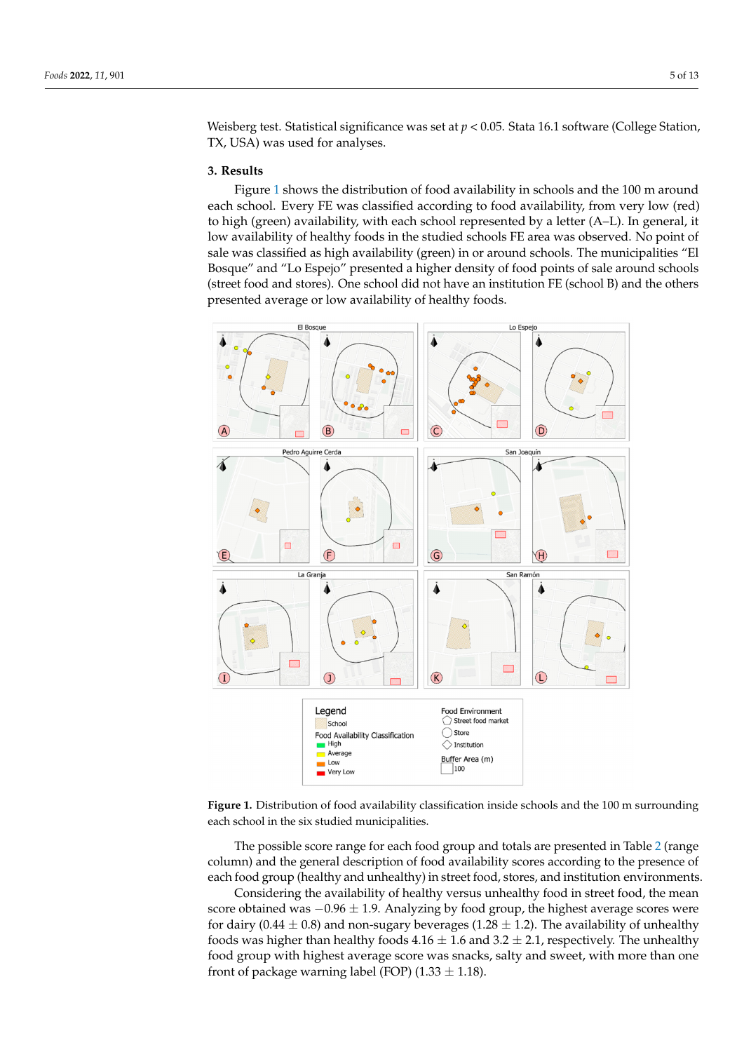Weisberg test. Statistical significance was set at  $p < 0.05$ . Stata 16.1 software (College Station, TX, USA) was used for analyses.

#### **3. Results 3. Results**

Figure [1](#page-4-0) shows the distribution of food availability in schools and the 100 m around each school. Every FE was classified according to food availability, from very low (red)<br>high (green) availability, with each school represented by a letter (A–L). In general, it to high (green) availability, with each school represented by a letter (A–L). In general, it low availability of healthy foods in the studied schools FE area was observed. No point of sale was classified as high availability (green) in or around schools. The municipalities "El was classified as high availability (green) in or around schools. The municipalities "El Bosque" and "Lo Espejo" presented a higher density of food points of sale around schools Bosque" and "Lo Espejo" presented a higher density of food points of sale around schools (street food and stores). One school did not have an institution FE (school B) and the others (street food and stores). One school did not have an institution FE (school B) and the others presented average or low availability of healthy foods. presented average or low availability of healthy foods. Figure 1 shows the distribution of food availability in schools and the 100m around exercisely FE was classified according to food availability in serious and the food it around

<span id="page-4-0"></span>

Figure 1. **Example 1. Figure 1. Figure 3. Figure 3. Figure 3. Figure 3. Figure 3. Figure 3. Figure 3. Figure 3. Figure 3. Figure 3. Figure 3. Figure 3. Figure 3. Figure 3. Figure 3. Figur** each school in the six studied municipalities. **Figure 1.** Distribution of food availability classification inside schools and the 100 m surrounding

column) and the general description of food availability scores according to the presence of each food group (healthy and unhealthy) in street food, stores, and institution environments. The possible score range for each food group and totals are presented in Table [2](#page-5-0) (range

Considering the availability of healthy versus unhealthy food in street food, the mean score obtained was  $-0.96 \pm 1.9$ . Analyzing by food group, the highest average scores were foods was higher than healthy foods  $4.16 \pm 1.6$  and  $3.2 \pm 2.1$ , respectively. The unhealthy food group with highest average score was snacks, salty and sweet, with more than one for dairy (0.44  $\pm$  0.8) and non-sugary beverages (1.28  $\pm$  1.2). The availability of unhealthy front of package warning label (FOP) (1.33  $\pm$  1.18).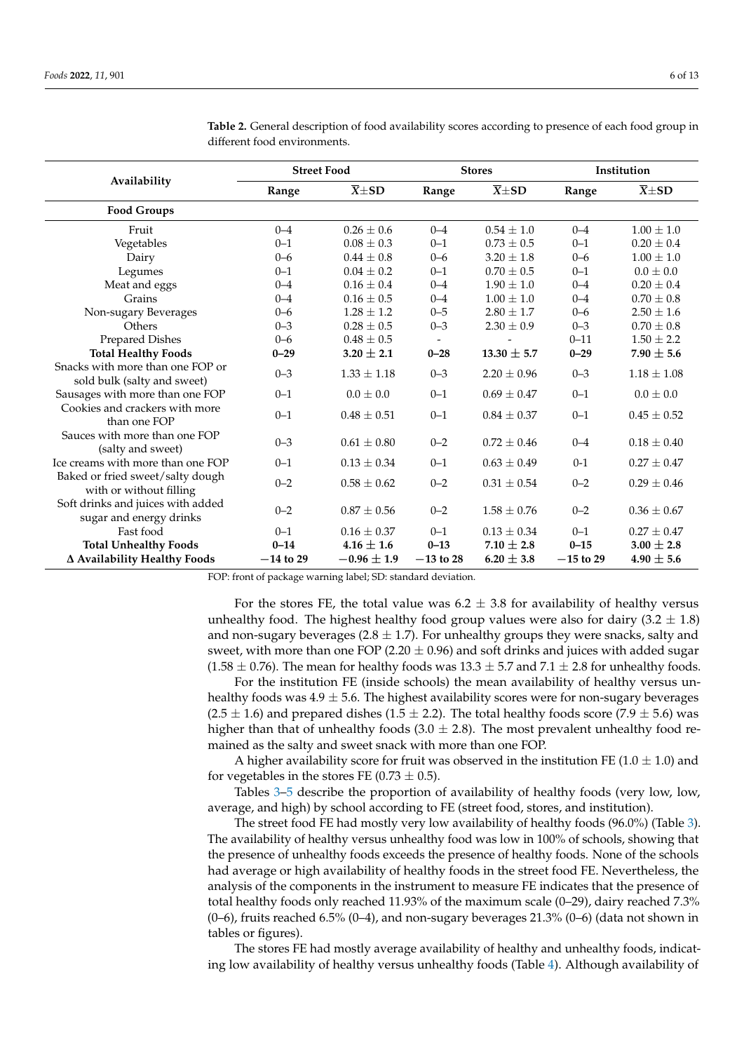|                                                                 | <b>Street Food</b> |                     |             | <b>Stores</b>       | Institution |                       |  |
|-----------------------------------------------------------------|--------------------|---------------------|-------------|---------------------|-------------|-----------------------|--|
| Availability                                                    | Range              | $\overline{X} + SD$ | Range       | $\overline{X} + SD$ | Range       | $\overline{X} \pm SD$ |  |
| <b>Food Groups</b>                                              |                    |                     |             |                     |             |                       |  |
| Fruit                                                           | $0 - 4$            | $0.26 \pm 0.6$      | $0 - 4$     | $0.54 \pm 1.0$      | $0 - 4$     | $1.00 \pm 1.0$        |  |
| Vegetables                                                      | $0 - 1$            | $0.08 + 0.3$        | $0 - 1$     | $0.73 + 0.5$        | $0 - 1$     | $0.20 + 0.4$          |  |
| Dairy                                                           | $0 - 6$            | $0.44 + 0.8$        | $0 - 6$     | $3.20 \pm 1.8$      | $0 - 6$     | $1.00 + 1.0$          |  |
| Legumes                                                         | $0 - 1$            | $0.04 + 0.2$        | $0 - 1$     | $0.70 + 0.5$        | $0 - 1$     | $0.0 + 0.0$           |  |
| Meat and eggs                                                   | $0 - 4$            | $0.16 \pm 0.4$      | $0 - 4$     | $1.90 + 1.0$        | $0 - 4$     | $0.20 \pm 0.4$        |  |
| Grains                                                          | $0 - 4$            | $0.16 \pm 0.5$      | $0 - 4$     | $1.00 \pm 1.0$      | $0 - 4$     | $0.70 \pm 0.8$        |  |
| Non-sugary Beverages                                            | $0 - 6$            | $1.28 \pm 1.2$      | $0 - 5$     | $2.80 \pm 1.7$      | $0 - 6$     | $2.50 \pm 1.6$        |  |
| Others                                                          | $0 - 3$            | $0.28 \pm 0.5$      | $0 - 3$     | $2.30 \pm 0.9$      | $0 - 3$     | $0.70 \pm 0.8$        |  |
| <b>Prepared Dishes</b>                                          | $0 - 6$            | $0.48 \pm 0.5$      |             |                     | $0 - 11$    | $1.50 \pm 2.2$        |  |
| <b>Total Healthy Foods</b>                                      | $0 - 29$           | $3.20 \pm 2.1$      | $0 - 28$    | $13.30 \pm 5.7$     | $0 - 29$    | $7.90 \pm 5.6$        |  |
| Snacks with more than one FOP or<br>sold bulk (salty and sweet) | $0 - 3$            | $1.33 \pm 1.18$     | $0 - 3$     | $2.20 + 0.96$       | $0 - 3$     | $1.18 \pm 1.08$       |  |
| Sausages with more than one FOP                                 | $0 - 1$            | $0.0 + 0.0$         | $0 - 1$     | $0.69 + 0.47$       | $0 - 1$     | $0.0 \pm 0.0$         |  |
| Cookies and crackers with more<br>than one FOP                  | $0 - 1$            | $0.48 \pm 0.51$     | $0 - 1$     | $0.84 \pm 0.37$     | $0 - 1$     | $0.45 \pm 0.52$       |  |
| Sauces with more than one FOP<br>(salty and sweet)              | $0 - 3$            | $0.61 \pm 0.80$     | $0 - 2$     | $0.72 + 0.46$       | $0 - 4$     | $0.18 \pm 0.40$       |  |
| Ice creams with more than one FOP                               | $0 - 1$            | $0.13 \pm 0.34$     | $0 - 1$     | $0.63 \pm 0.49$     | $0 - 1$     | $0.27 \pm 0.47$       |  |
| Baked or fried sweet/salty dough<br>with or without filling     | $0 - 2$            | $0.58 \pm 0.62$     | $0 - 2$     | $0.31 + 0.54$       | $0 - 2$     | $0.29 \pm 0.46$       |  |
| Soft drinks and juices with added<br>sugar and energy drinks    | $0 - 2$            | $0.87 \pm 0.56$     | $0 - 2$     | $1.58 \pm 0.76$     | $0 - 2$     | $0.36 \pm 0.67$       |  |
| Fast food                                                       | $0 - 1$            | $0.16 \pm 0.37$     | $0 - 1$     | $0.13 \pm 0.34$     | $0 - 1$     | $0.27 \pm 0.47$       |  |
| <b>Total Unhealthy Foods</b>                                    | $0 - 14$           | $4.16 \pm 1.6$      | $0 - 13$    | $7.10 \pm 2.8$      | $0 - 15$    | $3.00 \pm 2.8$        |  |
| ∆ Availability Healthy Foods                                    | $-14$ to 29        | $-0.96 \pm 1.9$     | $-13$ to 28 | $6.20 \pm 3.8$      | $-15$ to 29 | $4.90 \pm 5.6$        |  |

<span id="page-5-0"></span>**Table 2.** General description of food availability scores according to presence of each food group in different food environments.

FOP: front of package warning label; SD: standard deviation.

For the stores FE, the total value was  $6.2 \pm 3.8$  for availability of healthy versus unhealthy food. The highest healthy food group values were also for dairy  $(3.2 \pm 1.8)$ and non-sugary beverages ( $2.8 \pm 1.7$ ). For unhealthy groups they were snacks, salty and sweet, with more than one FOP (2.20  $\pm$  0.96) and soft drinks and juices with added sugar  $(1.58 \pm 0.76)$ . The mean for healthy foods was  $13.3 \pm 5.7$  and  $7.1 \pm 2.8$  for unhealthy foods.

For the institution FE (inside schools) the mean availability of healthy versus unhealthy foods was  $4.9 \pm 5.6$ . The highest availability scores were for non-sugary beverages  $(2.5 \pm 1.6)$  and prepared dishes  $(1.5 \pm 2.2)$ . The total healthy foods score  $(7.9 \pm 5.6)$  was higher than that of unhealthy foods  $(3.0 \pm 2.8)$ . The most prevalent unhealthy food remained as the salty and sweet snack with more than one FOP.

A higher availability score for fruit was observed in the institution FE  $(1.0 \pm 1.0)$  and for vegetables in the stores FE (0.73  $\pm$  0.5).

Tables [3](#page-6-0)[–5](#page-7-0) describe the proportion of availability of healthy foods (very low, low, average, and high) by school according to FE (street food, stores, and institution).

The street food FE had mostly very low availability of healthy foods (96.0%) (Table [3\)](#page-6-0). The availability of healthy versus unhealthy food was low in 100% of schools, showing that the presence of unhealthy foods exceeds the presence of healthy foods. None of the schools had average or high availability of healthy foods in the street food FE. Nevertheless, the analysis of the components in the instrument to measure FE indicates that the presence of total healthy foods only reached 11.93% of the maximum scale (0–29), dairy reached 7.3%  $(0-6)$ , fruits reached 6.5%  $(0-4)$ , and non-sugary beverages 21.3%  $(0-6)$  (data not shown in tables or figures).

The stores FE had mostly average availability of healthy and unhealthy foods, indicating low availability of healthy versus unhealthy foods (Table [4\)](#page-6-1). Although availability of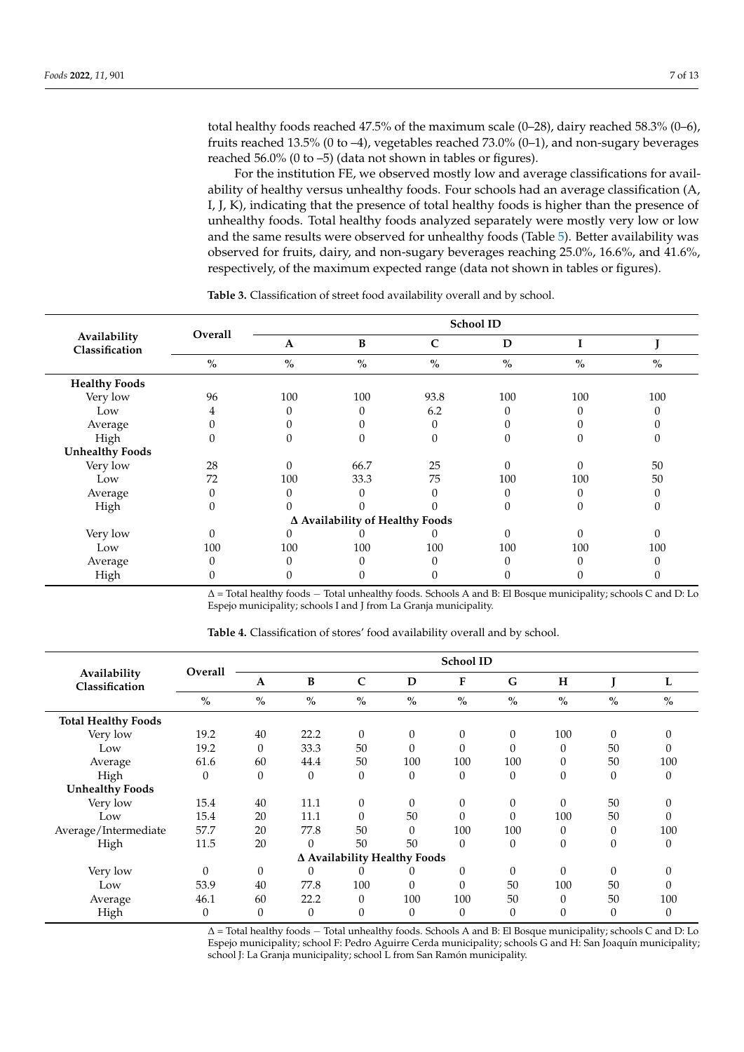total healthy foods reached 47.5% of the maximum scale (0–28), dairy reached 58.3% (0–6), fruits reached 13.5% (0 to –4), vegetables reached 73.0% (0–1), and non-sugary beverages reached 56.0% (0 to –5) (data not shown in tables or figures).

For the institution FE, we observed mostly low and average classifications for availability of healthy versus unhealthy foods. Four schools had an average classification (A, I, J, K), indicating that the presence of total healthy foods is higher than the presence of unhealthy foods. Total healthy foods analyzed separately were mostly very low or low and the same results were observed for unhealthy foods (Table [5\)](#page-7-0). Better availability was observed for fruits, dairy, and non-sugary beverages reaching 25.0%, 16.6%, and 41.6%, respectively, of the maximum expected range (data not shown in tables or figures).

|                                | Overall                            | School ID |                                 |               |      |          |      |  |  |  |
|--------------------------------|------------------------------------|-----------|---------------------------------|---------------|------|----------|------|--|--|--|
| Availability<br>Classification |                                    | A         | B                               | $\mathsf{C}$  | D    |          |      |  |  |  |
|                                | $\mathbf{0}_{\mathbf{0}}^{\prime}$ | $\%$      | $\%$                            | $\frac{0}{0}$ | $\%$ | $\%$     | $\%$ |  |  |  |
| <b>Healthy Foods</b>           |                                    |           |                                 |               |      |          |      |  |  |  |
| Very low                       | 96                                 | 100       | 100                             | 93.8          | 100  | 100      | 100  |  |  |  |
| Low                            | 4                                  |           | 0                               | 6.2           |      | 0        |      |  |  |  |
| Average                        |                                    |           |                                 | $\Omega$      |      |          |      |  |  |  |
| High                           |                                    |           |                                 | $\theta$      |      |          |      |  |  |  |
| <b>Unhealthy Foods</b>         |                                    |           |                                 |               |      |          |      |  |  |  |
| Very low                       | 28                                 | 0         | 66.7                            | 25            |      | $\Omega$ | 50   |  |  |  |
| Low                            | 72                                 | 100       | 33.3                            | 75            | 100  | 100      | 50   |  |  |  |
| Average                        |                                    |           | 0                               | 0             |      |          |      |  |  |  |
| High                           |                                    |           |                                 |               |      | 0        | 0    |  |  |  |
|                                |                                    |           | ∆ Availability of Healthy Foods |               |      |          |      |  |  |  |
| Very low                       |                                    |           |                                 |               |      | $\Omega$ | O    |  |  |  |
| Low                            | 100                                | 100       | 100                             | 100           | 100  | 100      | 100  |  |  |  |
| Average                        |                                    |           | 0                               | $\Omega$      |      | O        |      |  |  |  |
| High                           |                                    |           |                                 |               |      |          |      |  |  |  |

<span id="page-6-0"></span>**Table 3.** Classification of street food availability overall and by school.

∆ = Total healthy foods − Total unhealthy foods. Schools A and B: El Bosque municipality; schools C and D: Lo Espejo municipality; schools I and J from La Granja municipality.

|                                |                                                                                                                    |          |                                    |                  |                              | <b>School ID</b> |               |          |               |          |
|--------------------------------|--------------------------------------------------------------------------------------------------------------------|----------|------------------------------------|------------------|------------------------------|------------------|---------------|----------|---------------|----------|
| Availability<br>Classification | Overall                                                                                                            | A        | B                                  | $\mathbf C$      | D                            | F                | G             | H        |               | L        |
|                                | $\%$                                                                                                               | $\%$     | $\mathbf{0}_{\mathbf{0}}^{\prime}$ | $\frac{0}{0}$    | $\%$                         | $\frac{0}{0}$    | $\frac{0}{0}$ | $\%$     | $\frac{0}{0}$ | $\%$     |
| <b>Total Healthy Foods</b>     |                                                                                                                    |          |                                    |                  |                              |                  |               |          |               |          |
| Very low                       | 19.2                                                                                                               | 40       | 22.2                               | $\theta$         | $\theta$                     | 0                | 0             | 100      | $\Omega$      | 0        |
| Low                            | 19.2                                                                                                               | $\theta$ | 33.3                               | 50               | $\theta$                     | 0                | $\Omega$      | 0        | 50            |          |
| Average                        | 61.6                                                                                                               | 60       | 44.4                               | 50               | 100                          | 100              | 100           | 0        | 50            | 100      |
| High                           | $\theta$                                                                                                           | $\theta$ | $\theta$                           | $\theta$         | $\theta$                     | $\theta$         | $\theta$      | $\theta$ | $\theta$      | $\theta$ |
| <b>Unhealthy Foods</b>         |                                                                                                                    |          |                                    |                  |                              |                  |               |          |               |          |
| Very low                       | 15.4                                                                                                               | 40       | 11.1                               | $\boldsymbol{0}$ | $\theta$                     | $\boldsymbol{0}$ | 0             | $\theta$ | 50            | $\Omega$ |
| Low                            | 15.4                                                                                                               | 20       | 11.1                               | $\theta$         | 50                           | 0                | 0             | 100      | 50            | $\Omega$ |
| Average/Intermediate           | 57.7                                                                                                               | 20       | 77.8                               | 50               | $\theta$                     | 100              | 100           | 0        | $\theta$      | 100      |
| High                           | 11.5                                                                                                               | 20       | $\Omega$                           | 50               | 50                           | $\theta$         | 0             | $\theta$ | $\theta$      | $\theta$ |
|                                |                                                                                                                    |          |                                    |                  | Δ Availability Healthy Foods |                  |               |          |               |          |
| Very low                       | $\Omega$                                                                                                           | $\theta$ | $\Omega$                           | 0                | 0                            | 0                | 0             | $\Omega$ | $\Omega$      | $\Omega$ |
| Low                            | 53.9                                                                                                               | 40       | 77.8                               | 100              | $\Omega$                     | $\theta$         | 50            | 100      | 50            | $\Omega$ |
| Average                        | 46.1                                                                                                               | 60       | 22.2                               | $\theta$         | 100                          | 100              | 50            | $\Omega$ | 50            | 100      |
| High                           | $\theta$                                                                                                           | $\theta$ | $\theta$                           | $\mathbf{0}$     | $\theta$                     | 0                | 0             | $\theta$ | $\theta$      | $\theta$ |
|                                | $\Lambda$ = Total healthy foods = Total unbealthy foods. Schools A and B: El Bosque municipality: schools C and D: |          |                                    |                  |                              |                  |               |          |               |          |

<span id="page-6-1"></span>**Table 4.** Classification of stores' food availability overall and by school.

Total healthy foods – Total unhealthy foods. Schools A and B: El Bosque municipality; schools C and D: Lo Espejo municipality; school F: Pedro Aguirre Cerda municipality; schools G and H: San Joaquín municipality; school J: La Granja municipality; school L from San Ramón municipality.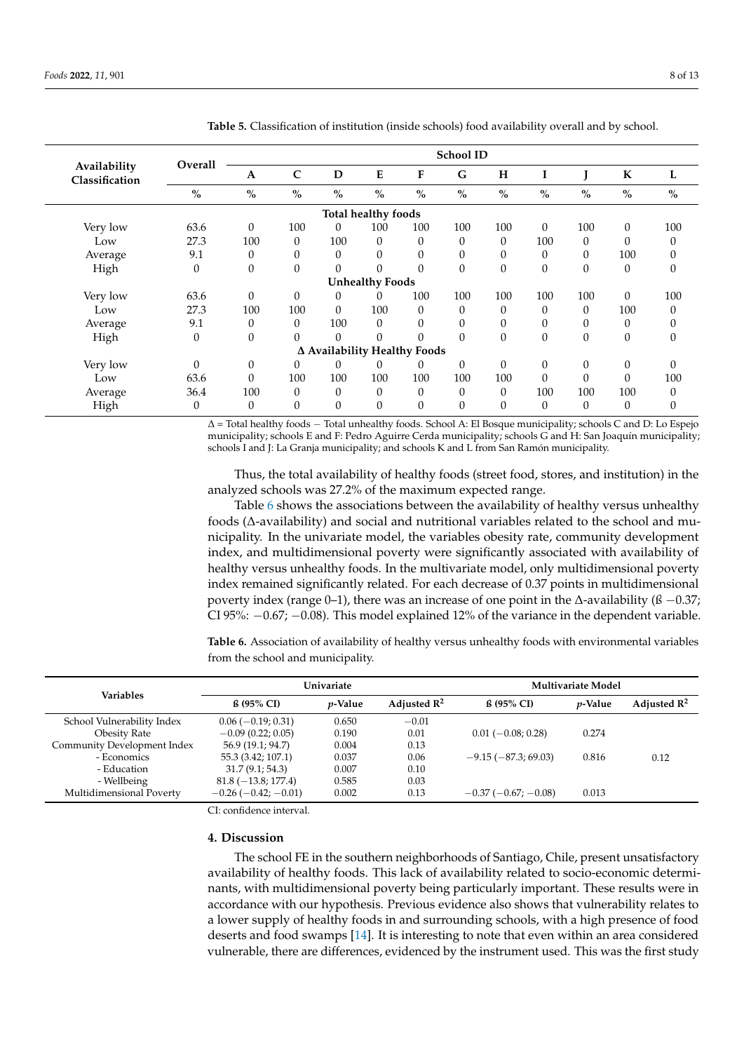|                                | Overall       |              |             |                              |                        |           | <b>School ID</b> |          |          |                |               |      |
|--------------------------------|---------------|--------------|-------------|------------------------------|------------------------|-----------|------------------|----------|----------|----------------|---------------|------|
| Availability<br>Classification |               | A            | $\mathbf C$ | D                            | ${\bf E}$              | ${\bf F}$ | G                | H        | I        |                | K             | L    |
|                                | $\frac{0}{0}$ | $\%$         | $\%$        | $\frac{0}{0}$                | $\%$                   | $\%$      | $\%$             | $\%$     | $\%$     | $\%$           | $\frac{0}{0}$ | $\%$ |
| Total healthy foods            |               |              |             |                              |                        |           |                  |          |          |                |               |      |
| Very low                       | 63.6          | $\theta$     | 100         | $\Omega$                     | 100                    | 100       | 100              | 100      | $\Omega$ | 100            | $\theta$      | 100  |
| Low                            | 27.3          | 100          | $\theta$    | 100                          | $\theta$               | $\Omega$  | $\theta$         | $\theta$ | 100      | $\Omega$       | $\Omega$      | 0    |
| Average                        | 9.1           | $\theta$     | 0           | 0                            | $\theta$               | $\theta$  | $\theta$         | $\theta$ | $\theta$ | $\overline{0}$ | 100           | 0    |
| High                           | $\theta$      | $\mathbf{0}$ | $\Omega$    | $\theta$                     | 0                      | $\theta$  | $\theta$         | $\theta$ | $\theta$ | $\theta$       | $\theta$      | 0    |
|                                |               |              |             |                              | <b>Unhealthy Foods</b> |           |                  |          |          |                |               |      |
| Very low                       | 63.6          | $\theta$     | $\theta$    | $\theta$                     | 0                      | 100       | 100              | 100      | 100      | 100            | $\theta$      | 100  |
| Low                            | 27.3          | 100          | 100         | $\Omega$                     | 100                    | $\Omega$  | $\Omega$         | $\theta$ | $\Omega$ | $\Omega$       | 100           | 0    |
| Average                        | 9.1           | $\Omega$     | $\Omega$    | 100                          | $\theta$               | $\Omega$  | $\Omega$         | $\theta$ | $\Omega$ | $\Omega$       | $\theta$      |      |
| High                           | $\mathbf{0}$  | $\mathbf{0}$ | $\Omega$    | $\Omega$                     | $\Omega$               | $\Omega$  | $\Omega$         | $\theta$ | $\Omega$ | $\Omega$       | $\theta$      | 0    |
|                                |               |              |             | ∆ Availability Healthy Foods |                        |           |                  |          |          |                |               |      |
| Very low                       | $\Omega$      | $\theta$     | $\theta$    | 0                            | 0                      | 0         | $\Omega$         | $\theta$ | $\theta$ | $\Omega$       | $\theta$      | 0    |
| Low                            | 63.6          | $\Omega$     | 100         | 100                          | 100                    | 100       | 100              | 100      | $\Omega$ | $\Omega$       | $\theta$      | 100  |
| Average                        | 36.4          | 100          | $\Omega$    | $\Omega$                     | $\theta$               | $\Omega$  | $\Omega$         | $\theta$ | 100      | 100            | 100           | 0    |
| High                           | $\mathbf{0}$  | $\theta$     | $\Omega$    | 0                            | $\theta$               | $\theta$  | $\Omega$         | $\theta$ | $\theta$ | $\mathbf{0}$   | $\theta$      | 0    |

<span id="page-7-0"></span>**Table 5.** Classification of institution (inside schools) food availability overall and by school.

∆ = Total healthy foods − Total unhealthy foods. School A: El Bosque municipality; schools C and D: Lo Espejo municipality; schools E and F: Pedro Aguirre Cerda municipality; schools G and H: San Joaquín municipality; schools I and J: La Granja municipality; and schools K and L from San Ramón municipality.

Thus, the total availability of healthy foods (street food, stores, and institution) in the analyzed schools was 27.2% of the maximum expected range.

Table [6](#page-7-1) shows the associations between the availability of healthy versus unhealthy foods (∆-availability) and social and nutritional variables related to the school and municipality. In the univariate model, the variables obesity rate, community development index, and multidimensional poverty were significantly associated with availability of healthy versus unhealthy foods. In the multivariate model, only multidimensional poverty index remained significantly related. For each decrease of 0.37 points in multidimensional poverty index (range 0–1), there was an increase of one point in the  $\Delta$ -availability ( $\beta$  –0.37; CI 95%:  $-0.67$ ;  $-0.08$ ). This model explained 12% of the variance in the dependent variable.

<span id="page-7-1"></span>**Table 6.** Association of availability of healthy versus unhealthy foods with environmental variables from the school and municipality.

|                             |                               | Univariate      |                         | <b>Multivariate Model</b> |                 |                         |  |
|-----------------------------|-------------------------------|-----------------|-------------------------|---------------------------|-----------------|-------------------------|--|
| <b>Variables</b>            | $\beta$ (95% CI)              | <i>v</i> -Value | Adjusted $\mathbb{R}^2$ | $6.95\%$ CI)              | <i>p</i> -Value | Adjusted $\mathbb{R}^2$ |  |
| School Vulnerability Index  | $0.06 (-0.19; 0.31)$          | 0.650           | $-0.01$                 |                           |                 |                         |  |
| <b>Obesity Rate</b>         | $-0.09(0.22; 0.05)$           | 0.190           | 0.01                    | $0.01(-0.08; 0.28)$       | 0.274           |                         |  |
| Community Development Index | 56.9 (19.1; 94.7)             | 0.004           | 0.13                    |                           |                 |                         |  |
| - Economics                 | 55.3 (3.42; 107.1)            | 0.037           | 0.06                    | $-9.15(-87.3; 69.03)$     | 0.816           | 0.12                    |  |
| - Education                 | 31.7(9.1; 54.3)               | 0.007           | 0.10                    |                           |                 |                         |  |
| - Wellbeing                 | $81.8(-13.8; 177.4)$          | 0.585           | 0.03                    |                           |                 |                         |  |
| Multidimensional Poverty    | $-0.26$ ( $-0.42$ ; $-0.01$ ) | 0.002           | 0.13                    | $-0.37(-0.67; -0.08)$     | 0.013           |                         |  |

CI: confidence interval.

### **4. Discussion**

The school FE in the southern neighborhoods of Santiago, Chile, present unsatisfactory availability of healthy foods. This lack of availability related to socio-economic determinants, with multidimensional poverty being particularly important. These results were in accordance with our hypothesis. Previous evidence also shows that vulnerability relates to a lower supply of healthy foods in and surrounding schools, with a high presence of food deserts and food swamps [\[14\]](#page-11-7). It is interesting to note that even within an area considered vulnerable, there are differences, evidenced by the instrument used. This was the first study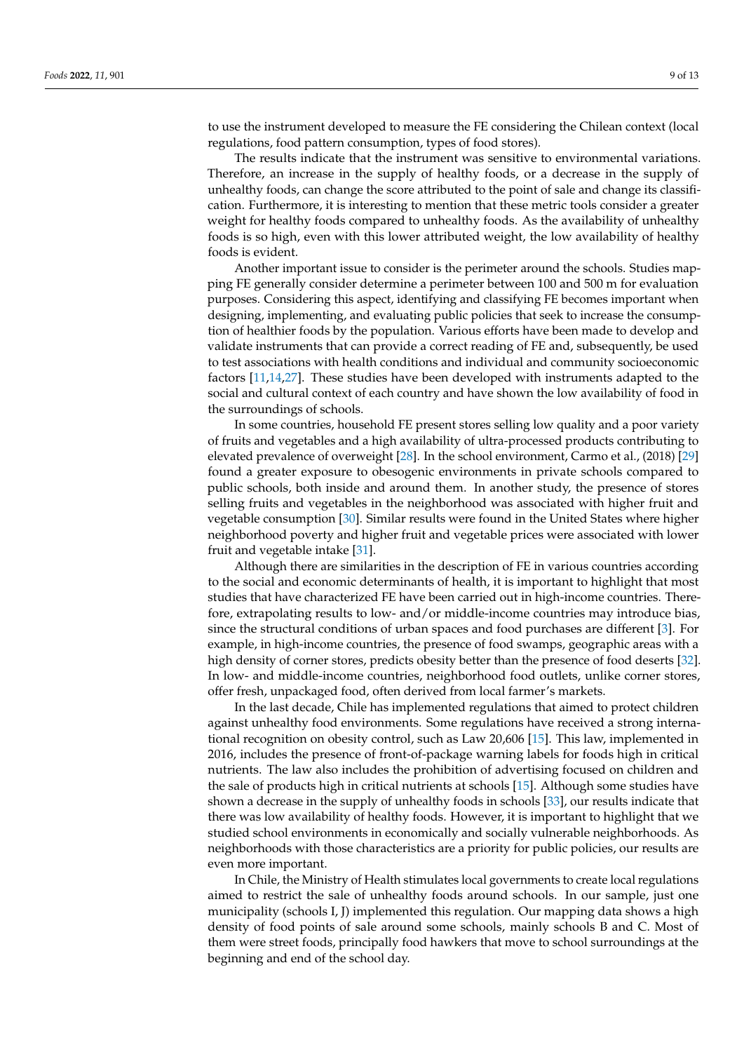to use the instrument developed to measure the FE considering the Chilean context (local regulations, food pattern consumption, types of food stores).

The results indicate that the instrument was sensitive to environmental variations. Therefore, an increase in the supply of healthy foods, or a decrease in the supply of unhealthy foods, can change the score attributed to the point of sale and change its classification. Furthermore, it is interesting to mention that these metric tools consider a greater weight for healthy foods compared to unhealthy foods. As the availability of unhealthy foods is so high, even with this lower attributed weight, the low availability of healthy foods is evident.

Another important issue to consider is the perimeter around the schools. Studies mapping FE generally consider determine a perimeter between 100 and 500 m for evaluation purposes. Considering this aspect, identifying and classifying FE becomes important when designing, implementing, and evaluating public policies that seek to increase the consumption of healthier foods by the population. Various efforts have been made to develop and validate instruments that can provide a correct reading of FE and, subsequently, be used to test associations with health conditions and individual and community socioeconomic factors [\[11,](#page-11-4)[14](#page-11-7)[,27\]](#page-11-20). These studies have been developed with instruments adapted to the social and cultural context of each country and have shown the low availability of food in the surroundings of schools.

In some countries, household FE present stores selling low quality and a poor variety of fruits and vegetables and a high availability of ultra-processed products contributing to elevated prevalence of overweight [\[28\]](#page-11-21). In the school environment, Carmo et al., (2018) [\[29\]](#page-11-22) found a greater exposure to obesogenic environments in private schools compared to public schools, both inside and around them. In another study, the presence of stores selling fruits and vegetables in the neighborhood was associated with higher fruit and vegetable consumption [\[30\]](#page-12-0). Similar results were found in the United States where higher neighborhood poverty and higher fruit and vegetable prices were associated with lower fruit and vegetable intake [\[31\]](#page-12-1).

Although there are similarities in the description of FE in various countries according to the social and economic determinants of health, it is important to highlight that most studies that have characterized FE have been carried out in high-income countries. Therefore, extrapolating results to low- and/or middle-income countries may introduce bias, since the structural conditions of urban spaces and food purchases are different [\[3\]](#page-10-2). For example, in high-income countries, the presence of food swamps, geographic areas with a high density of corner stores, predicts obesity better than the presence of food deserts [\[32\]](#page-12-2). In low- and middle-income countries, neighborhood food outlets, unlike corner stores, offer fresh, unpackaged food, often derived from local farmer's markets.

In the last decade, Chile has implemented regulations that aimed to protect children against unhealthy food environments. Some regulations have received a strong international recognition on obesity control, such as Law 20,606 [\[15\]](#page-11-8). This law, implemented in 2016, includes the presence of front-of-package warning labels for foods high in critical nutrients. The law also includes the prohibition of advertising focused on children and the sale of products high in critical nutrients at schools [\[15\]](#page-11-8). Although some studies have shown a decrease in the supply of unhealthy foods in schools [\[33\]](#page-12-3), our results indicate that there was low availability of healthy foods. However, it is important to highlight that we studied school environments in economically and socially vulnerable neighborhoods. As neighborhoods with those characteristics are a priority for public policies, our results are even more important.

In Chile, the Ministry of Health stimulates local governments to create local regulations aimed to restrict the sale of unhealthy foods around schools. In our sample, just one municipality (schools I, J) implemented this regulation. Our mapping data shows a high density of food points of sale around some schools, mainly schools B and C. Most of them were street foods, principally food hawkers that move to school surroundings at the beginning and end of the school day.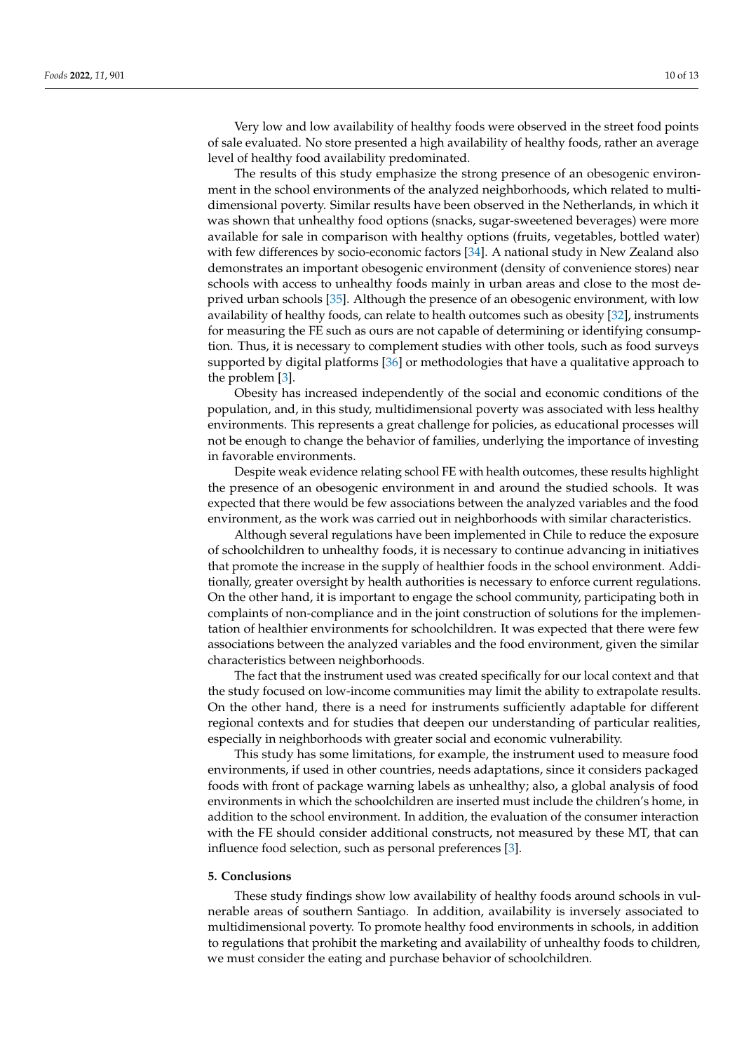Very low and low availability of healthy foods were observed in the street food points of sale evaluated. No store presented a high availability of healthy foods, rather an average level of healthy food availability predominated.

The results of this study emphasize the strong presence of an obesogenic environment in the school environments of the analyzed neighborhoods, which related to multidimensional poverty. Similar results have been observed in the Netherlands, in which it was shown that unhealthy food options (snacks, sugar-sweetened beverages) were more available for sale in comparison with healthy options (fruits, vegetables, bottled water) with few differences by socio-economic factors [\[34\]](#page-12-4). A national study in New Zealand also demonstrates an important obesogenic environment (density of convenience stores) near schools with access to unhealthy foods mainly in urban areas and close to the most deprived urban schools [\[35\]](#page-12-5). Although the presence of an obesogenic environment, with low availability of healthy foods, can relate to health outcomes such as obesity [\[32\]](#page-12-2), instruments for measuring the FE such as ours are not capable of determining or identifying consumption. Thus, it is necessary to complement studies with other tools, such as food surveys supported by digital platforms [\[36\]](#page-12-6) or methodologies that have a qualitative approach to the problem [\[3\]](#page-10-2).

Obesity has increased independently of the social and economic conditions of the population, and, in this study, multidimensional poverty was associated with less healthy environments. This represents a great challenge for policies, as educational processes will not be enough to change the behavior of families, underlying the importance of investing in favorable environments.

Despite weak evidence relating school FE with health outcomes, these results highlight the presence of an obesogenic environment in and around the studied schools. It was expected that there would be few associations between the analyzed variables and the food environment, as the work was carried out in neighborhoods with similar characteristics.

Although several regulations have been implemented in Chile to reduce the exposure of schoolchildren to unhealthy foods, it is necessary to continue advancing in initiatives that promote the increase in the supply of healthier foods in the school environment. Additionally, greater oversight by health authorities is necessary to enforce current regulations. On the other hand, it is important to engage the school community, participating both in complaints of non-compliance and in the joint construction of solutions for the implementation of healthier environments for schoolchildren. It was expected that there were few associations between the analyzed variables and the food environment, given the similar characteristics between neighborhoods.

The fact that the instrument used was created specifically for our local context and that the study focused on low-income communities may limit the ability to extrapolate results. On the other hand, there is a need for instruments sufficiently adaptable for different regional contexts and for studies that deepen our understanding of particular realities, especially in neighborhoods with greater social and economic vulnerability.

This study has some limitations, for example, the instrument used to measure food environments, if used in other countries, needs adaptations, since it considers packaged foods with front of package warning labels as unhealthy; also, a global analysis of food environments in which the schoolchildren are inserted must include the children's home, in addition to the school environment. In addition, the evaluation of the consumer interaction with the FE should consider additional constructs, not measured by these MT, that can influence food selection, such as personal preferences [\[3\]](#page-10-2).

#### **5. Conclusions**

These study findings show low availability of healthy foods around schools in vulnerable areas of southern Santiago. In addition, availability is inversely associated to multidimensional poverty. To promote healthy food environments in schools, in addition to regulations that prohibit the marketing and availability of unhealthy foods to children, we must consider the eating and purchase behavior of schoolchildren.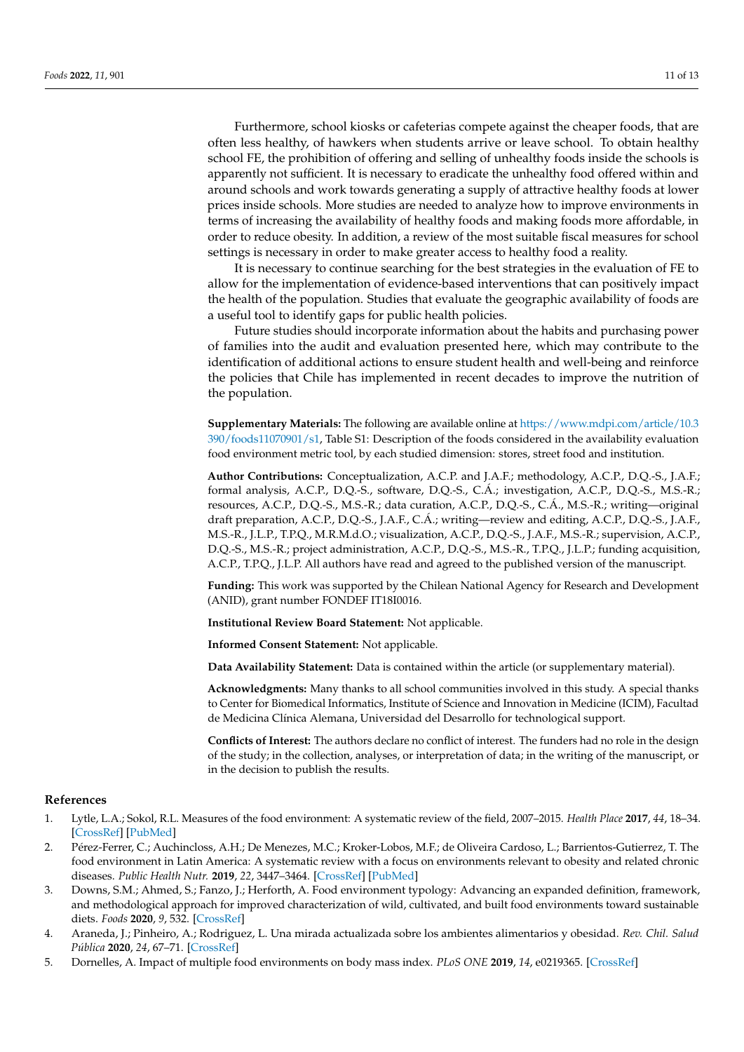Furthermore, school kiosks or cafeterias compete against the cheaper foods, that are often less healthy, of hawkers when students arrive or leave school. To obtain healthy school FE, the prohibition of offering and selling of unhealthy foods inside the schools is apparently not sufficient. It is necessary to eradicate the unhealthy food offered within and around schools and work towards generating a supply of attractive healthy foods at lower prices inside schools. More studies are needed to analyze how to improve environments in terms of increasing the availability of healthy foods and making foods more affordable, in order to reduce obesity. In addition, a review of the most suitable fiscal measures for school settings is necessary in order to make greater access to healthy food a reality.

It is necessary to continue searching for the best strategies in the evaluation of FE to allow for the implementation of evidence-based interventions that can positively impact the health of the population. Studies that evaluate the geographic availability of foods are a useful tool to identify gaps for public health policies.

Future studies should incorporate information about the habits and purchasing power of families into the audit and evaluation presented here, which may contribute to the identification of additional actions to ensure student health and well-being and reinforce the policies that Chile has implemented in recent decades to improve the nutrition of the population.

**Supplementary Materials:** The following are available online at [https://www.mdpi.com/article/10.3](https://www.mdpi.com/article/10.3390/foods11070901/s1) [390/foods11070901/s1,](https://www.mdpi.com/article/10.3390/foods11070901/s1) Table S1: Description of the foods considered in the availability evaluation food environment metric tool, by each studied dimension: stores, street food and institution.

**Author Contributions:** Conceptualization, A.C.P. and J.A.F.; methodology, A.C.P., D.Q.-S., J.A.F.; formal analysis, A.C.P., D.Q.-S., software, D.Q.-S., C.Á.; investigation, A.C.P., D.Q.-S., M.S.-R.; resources, A.C.P., D.Q.-S., M.S.-R.; data curation, A.C.P., D.Q.-S., C.Á., M.S.-R.; writing—original draft preparation, A.C.P., D.Q.-S., J.A.F., C.Á.; writing—review and editing, A.C.P., D.Q.-S., J.A.F., M.S.-R., J.L.P., T.P.Q., M.R.M.d.O.; visualization, A.C.P., D.Q.-S., J.A.F., M.S.-R.; supervision, A.C.P., D.Q.-S., M.S.-R.; project administration, A.C.P., D.Q.-S., M.S.-R., T.P.Q., J.L.P.; funding acquisition, A.C.P., T.P.Q., J.L.P. All authors have read and agreed to the published version of the manuscript.

**Funding:** This work was supported by the Chilean National Agency for Research and Development (ANID), grant number FONDEF IT18I0016.

**Institutional Review Board Statement:** Not applicable.

**Informed Consent Statement:** Not applicable.

**Data Availability Statement:** Data is contained within the article (or supplementary material).

**Acknowledgments:** Many thanks to all school communities involved in this study. A special thanks to Center for Biomedical Informatics, Institute of Science and Innovation in Medicine (ICIM), Facultad de Medicina Clínica Alemana, Universidad del Desarrollo for technological support.

**Conflicts of Interest:** The authors declare no conflict of interest. The funders had no role in the design of the study; in the collection, analyses, or interpretation of data; in the writing of the manuscript, or in the decision to publish the results.

## **References**

- <span id="page-10-0"></span>1. Lytle, L.A.; Sokol, R.L. Measures of the food environment: A systematic review of the field, 2007–2015. *Health Place* **2017**, *44*, 18–34. [\[CrossRef\]](http://doi.org/10.1016/j.healthplace.2016.12.007) [\[PubMed\]](http://www.ncbi.nlm.nih.gov/pubmed/28135633)
- <span id="page-10-1"></span>2. Pérez-Ferrer, C.; Auchincloss, A.H.; De Menezes, M.C.; Kroker-Lobos, M.F.; de Oliveira Cardoso, L.; Barrientos-Gutierrez, T. The food environment in Latin America: A systematic review with a focus on environments relevant to obesity and related chronic diseases. *Public Health Nutr.* **2019**, *22*, 3447–3464. [\[CrossRef\]](http://doi.org/10.1017/S1368980019002891) [\[PubMed\]](http://www.ncbi.nlm.nih.gov/pubmed/31666140)
- <span id="page-10-2"></span>3. Downs, S.M.; Ahmed, S.; Fanzo, J.; Herforth, A. Food environment typology: Advancing an expanded definition, framework, and methodological approach for improved characterization of wild, cultivated, and built food environments toward sustainable diets. *Foods* **2020**, *9*, 532. [\[CrossRef\]](http://doi.org/10.3390/foods9040532)
- <span id="page-10-3"></span>4. Araneda, J.; Pinheiro, A.; Rodriguez, L. Una mirada actualizada sobre los ambientes alimentarios y obesidad. *Rev. Chil. Salud Pública* **2020**, *24*, 67–71. [\[CrossRef\]](http://doi.org/10.5354/0719-5281.2020.57593)
- <span id="page-10-4"></span>5. Dornelles, A. Impact of multiple food environments on body mass index. *PLoS ONE* **2019**, *14*, e0219365. [\[CrossRef\]](http://doi.org/10.1371/journal.pone.0219365)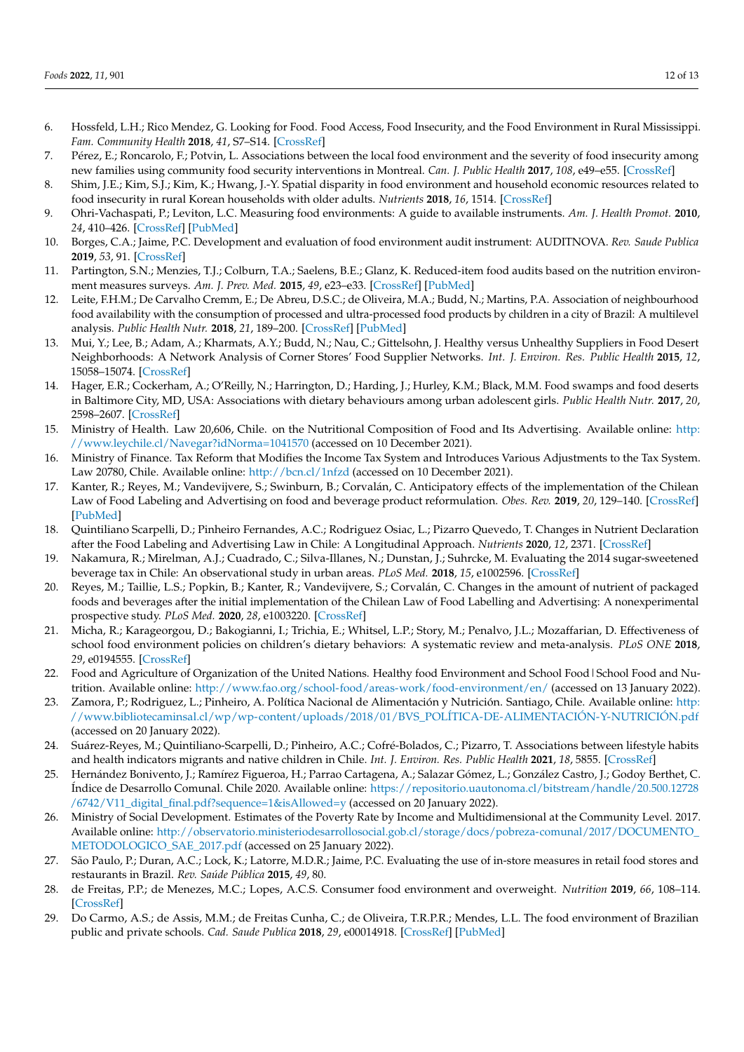- <span id="page-11-0"></span>6. Hossfeld, L.H.; Rico Mendez, G. Looking for Food. Food Access, Food Insecurity, and the Food Environment in Rural Mississippi. *Fam. Community Health* **2018**, *41*, S7–S14. [\[CrossRef\]](http://doi.org/10.1097/FCH.0000000000000182)
- 7. Pérez, E.; Roncarolo, F.; Potvin, L. Associations between the local food environment and the severity of food insecurity among new families using community food security interventions in Montreal. *Can. J. Public Health* **2017**, *108*, e49–e55. [\[CrossRef\]](http://doi.org/10.17269/CJPH.108.5651)
- <span id="page-11-1"></span>8. Shim, J.E.; Kim, S.J.; Kim, K.; Hwang, J.-Y. Spatial disparity in food environment and household economic resources related to food insecurity in rural Korean households with older adults. *Nutrients* **2018**, *16*, 1514. [\[CrossRef\]](http://doi.org/10.3390/nu10101514)
- <span id="page-11-2"></span>9. Ohri-Vachaspati, P.; Leviton, L.C. Measuring food environments: A guide to available instruments. *Am. J. Health Promot.* **2010**, *24*, 410–426. [\[CrossRef\]](http://doi.org/10.4278/ajhp.080909-LIT-190) [\[PubMed\]](http://www.ncbi.nlm.nih.gov/pubmed/20594098)
- <span id="page-11-3"></span>10. Borges, C.A.; Jaime, P.C. Development and evaluation of food environment audit instrument: AUDITNOVA. *Rev. Saude Publica* **2019**, *53*, 91. [\[CrossRef\]](http://doi.org/10.11606/s1518-8787.2019053001316)
- <span id="page-11-4"></span>11. Partington, S.N.; Menzies, T.J.; Colburn, T.A.; Saelens, B.E.; Glanz, K. Reduced-item food audits based on the nutrition environment measures surveys. *Am. J. Prev. Med.* **2015**, *49*, e23–e33. [\[CrossRef\]](http://doi.org/10.1016/j.amepre.2015.04.036) [\[PubMed\]](http://www.ncbi.nlm.nih.gov/pubmed/26208427)
- <span id="page-11-5"></span>12. Leite, F.H.M.; De Carvalho Cremm, E.; De Abreu, D.S.C.; de Oliveira, M.A.; Budd, N.; Martins, P.A. Association of neighbourhood food availability with the consumption of processed and ultra-processed food products by children in a city of Brazil: A multilevel analysis. *Public Health Nutr.* **2018**, *21*, 189–200. [\[CrossRef\]](http://doi.org/10.1017/S136898001600361X) [\[PubMed\]](http://www.ncbi.nlm.nih.gov/pubmed/28095942)
- <span id="page-11-6"></span>13. Mui, Y.; Lee, B.; Adam, A.; Kharmats, A.Y.; Budd, N.; Nau, C.; Gittelsohn, J. Healthy versus Unhealthy Suppliers in Food Desert Neighborhoods: A Network Analysis of Corner Stores' Food Supplier Networks. *Int. J. Environ. Res. Public Health* **2015**, *12*, 15058–15074. [\[CrossRef\]](http://doi.org/10.3390/ijerph121214965)
- <span id="page-11-7"></span>14. Hager, E.R.; Cockerham, A.; O'Reilly, N.; Harrington, D.; Harding, J.; Hurley, K.M.; Black, M.M. Food swamps and food deserts in Baltimore City, MD, USA: Associations with dietary behaviours among urban adolescent girls. *Public Health Nutr.* **2017**, *20*, 2598–2607. [\[CrossRef\]](http://doi.org/10.1017/S1368980016002123)
- <span id="page-11-8"></span>15. Ministry of Health. Law 20,606, Chile. on the Nutritional Composition of Food and Its Advertising. Available online: [http:](http://www.leychile.cl/Navegar?idNorma=1041570) [//www.leychile.cl/Navegar?idNorma=1041570](http://www.leychile.cl/Navegar?idNorma=1041570) (accessed on 10 December 2021).
- <span id="page-11-9"></span>16. Ministry of Finance. Tax Reform that Modifies the Income Tax System and Introduces Various Adjustments to the Tax System. Law 20780, Chile. Available online: <http://bcn.cl/1nfzd> (accessed on 10 December 2021).
- <span id="page-11-10"></span>17. Kanter, R.; Reyes, M.; Vandevijvere, S.; Swinburn, B.; Corvalán, C. Anticipatory effects of the implementation of the Chilean Law of Food Labeling and Advertising on food and beverage product reformulation. *Obes. Rev.* **2019**, *20*, 129–140. [\[CrossRef\]](http://doi.org/10.1111/obr.12870) [\[PubMed\]](http://www.ncbi.nlm.nih.gov/pubmed/31245920)
- <span id="page-11-11"></span>18. Quintiliano Scarpelli, D.; Pinheiro Fernandes, A.C.; Rodriguez Osiac, L.; Pizarro Quevedo, T. Changes in Nutrient Declaration after the Food Labeling and Advertising Law in Chile: A Longitudinal Approach. *Nutrients* **2020**, *12*, 2371. [\[CrossRef\]](http://doi.org/10.3390/nu12082371)
- <span id="page-11-12"></span>19. Nakamura, R.; Mirelman, A.J.; Cuadrado, C.; Silva-Illanes, N.; Dunstan, J.; Suhrcke, M. Evaluating the 2014 sugar-sweetened beverage tax in Chile: An observational study in urban areas. *PLoS Med.* **2018**, *15*, e1002596. [\[CrossRef\]](http://doi.org/10.1371/journal.pmed.1002596)
- <span id="page-11-13"></span>20. Reyes, M.; Taillie, L.S.; Popkin, B.; Kanter, R.; Vandevijvere, S.; Corvalán, C. Changes in the amount of nutrient of packaged foods and beverages after the initial implementation of the Chilean Law of Food Labelling and Advertising: A nonexperimental prospective study. *PLoS Med.* **2020**, *28*, e1003220. [\[CrossRef\]](http://doi.org/10.1371/journal.pmed.1003220)
- <span id="page-11-14"></span>21. Micha, R.; Karageorgou, D.; Bakogianni, I.; Trichia, E.; Whitsel, L.P.; Story, M.; Penalvo, J.L.; Mozaffarian, D. Effectiveness of school food environment policies on children's dietary behaviors: A systematic review and meta-analysis. *PLoS ONE* **2018**, *29*, e0194555. [\[CrossRef\]](http://doi.org/10.1371/journal.pone.0194555)
- <span id="page-11-15"></span>22. Food and Agriculture of Organization of the United Nations. Healthy food Environment and School Food | School Food and Nutrition. Available online: <http://www.fao.org/school-food/areas-work/food-environment/en/> (accessed on 13 January 2022).
- <span id="page-11-16"></span>23. Zamora, P.; Rodriguez, L.; Pinheiro, A. Política Nacional de Alimentación y Nutrición. Santiago, Chile. Available online: [http:](http://www.bibliotecaminsal.cl/wp/wp-content/uploads/2018/01/BVS_POL�TICA-DE-ALIMENTACI�N-Y-NUTRICI�N.pdf) [//www.bibliotecaminsal.cl/wp/wp-content/uploads/2018/01/BVS\\_POLÍTICA-DE-ALIMENTACIÓN-Y-NUTRICIÓN.pdf](http://www.bibliotecaminsal.cl/wp/wp-content/uploads/2018/01/BVS_POL�TICA-DE-ALIMENTACI�N-Y-NUTRICI�N.pdf) (accessed on 20 January 2022).
- <span id="page-11-17"></span>24. Suárez-Reyes, M.; Quintiliano-Scarpelli, D.; Pinheiro, A.C.; Cofré-Bolados, C.; Pizarro, T. Associations between lifestyle habits and health indicators migrants and native children in Chile. *Int. J. Environ. Res. Public Health* **2021**, *18*, 5855. [\[CrossRef\]](http://doi.org/10.3390/ijerph18115855)
- <span id="page-11-18"></span>25. Hernández Bonivento, J.; Ramírez Figueroa, H.; Parrao Cartagena, A.; Salazar Gómez, L.; González Castro, J.; Godoy Berthet, C. Índice de Desarrollo Comunal. Chile 2020. Available online: [https://repositorio.uautonoma.cl/bitstream/handle/20.500.12728](https://repositorio.uautonoma.cl/bitstream/handle/20.500.12728/6742/V11_digital_final.pdf?sequence=1&isAllowed=y) [/6742/V11\\_digital\\_final.pdf?sequence=1&isAllowed=y](https://repositorio.uautonoma.cl/bitstream/handle/20.500.12728/6742/V11_digital_final.pdf?sequence=1&isAllowed=y) (accessed on 20 January 2022).
- <span id="page-11-19"></span>26. Ministry of Social Development. Estimates of the Poverty Rate by Income and Multidimensional at the Community Level. 2017. Available online: [http://observatorio.ministeriodesarrollosocial.gob.cl/storage/docs/pobreza-comunal/2017/DOCUMENTO\\_](http://observatorio.ministeriodesarrollosocial.gob.cl/storage/docs/pobreza-comunal/2017/DOCUMENTO_METODOLOGICO_SAE_2017.pdf) [METODOLOGICO\\_SAE\\_2017.pdf](http://observatorio.ministeriodesarrollosocial.gob.cl/storage/docs/pobreza-comunal/2017/DOCUMENTO_METODOLOGICO_SAE_2017.pdf) (accessed on 25 January 2022).
- <span id="page-11-20"></span>27. São Paulo, P.; Duran, A.C.; Lock, K.; Latorre, M.D.R.; Jaime, P.C. Evaluating the use of in-store measures in retail food stores and restaurants in Brazil. *Rev. Saúde Pública* **2015**, *49*, 80.
- <span id="page-11-21"></span>28. de Freitas, P.P.; de Menezes, M.C.; Lopes, A.C.S. Consumer food environment and overweight. *Nutrition* **2019**, *66*, 108–114. [\[CrossRef\]](http://doi.org/10.1016/j.nut.2019.04.013)
- <span id="page-11-22"></span>29. Do Carmo, A.S.; de Assis, M.M.; de Freitas Cunha, C.; de Oliveira, T.R.P.R.; Mendes, L.L. The food environment of Brazilian public and private schools. *Cad. Saude Publica* **2018**, *29*, e00014918. [\[CrossRef\]](http://doi.org/10.1590/0102-311x00014918) [\[PubMed\]](http://www.ncbi.nlm.nih.gov/pubmed/30517312)